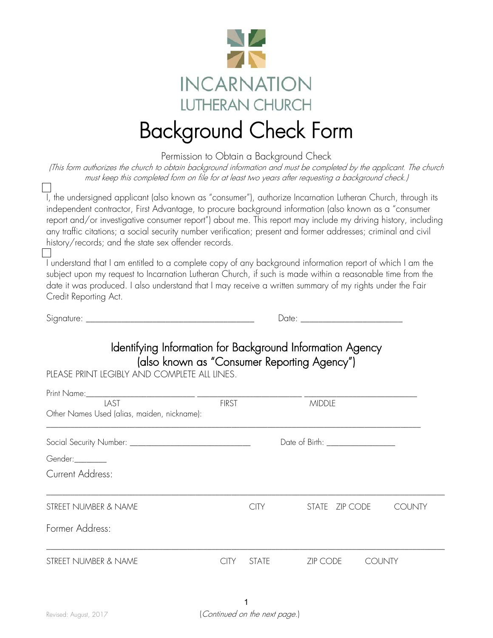

## Background Check Form

Permission to Obtain a Background Check

(This form authorizes the church to obtain background information and must be completed by the applicant. The church must keep this completed form on file for at least two years after requesting a background check.)

I, the undersigned applicant (also known as "consumer"), authorize Incarnation Lutheran Church, through its independent contractor, First Advantage, to procure background information (also known as a "consumer report and/or investigative consumer report") about me. This report may include my driving history, including any traffic citations; a social security number verification; present and former addresses; criminal and civil history/records; and the state sex offender records.

I understand that I am entitled to a complete copy of any background information report of which I am the subject upon my request to Incarnation Lutheran Church, if such is made within a reasonable time from the date it was produced. I also understand that I may receive a written summary of my rights under the Fair Credit Reporting Act.

Signature: \_\_\_\_\_\_\_\_\_\_\_\_\_\_\_\_\_\_\_\_\_\_\_\_\_\_\_\_\_\_\_\_\_\_\_\_\_\_ Date: \_\_\_\_\_\_\_\_\_\_\_\_\_\_\_\_\_\_\_\_\_\_\_

| ヽ<br>$\cdot$<br>)( |  |  |  |  |
|--------------------|--|--|--|--|
|                    |  |  |  |  |

Identifying Information for Background Information Agency (also known as "Consumer Reporting Agency")<br>PIFASE PRINT LEGIBLY AND COMPLETE ALL LINES.

| LAST                                        | <b>FIRST</b> |              | <b>MIDDLE</b>                      |               |
|---------------------------------------------|--------------|--------------|------------------------------------|---------------|
| Other Names Used (alias, maiden, nickname): |              |              |                                    |               |
|                                             |              |              | Date of Birth: ___________________ |               |
| Gender:________                             |              |              |                                    |               |
| Current Address:                            |              |              |                                    |               |
| STREET NUMBER & NAME                        |              | <b>CITY</b>  | STATE ZIP CODE                     | <b>COUNTY</b> |
| Former Address:                             |              |              |                                    |               |
| STREET NUMBER & NAME                        | CITY.        | <b>STATE</b> | ZIP CODE<br><b>COUNTY</b>          |               |